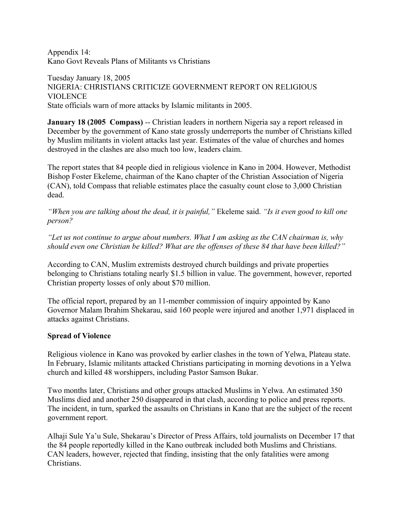Appendix 14: Kano Govt Reveals Plans of Militants vs Christians

Tuesday January 18, 2005 NIGERIA: CHRISTIANS CRITICIZE GOVERNMENT REPORT ON RELIGIOUS VIOLENCE State officials warn of more attacks by Islamic militants in 2005.

**January 18 (2005 Compass)** -- Christian leaders in northern Nigeria say a report released in December by the government of Kano state grossly underreports the number of Christians killed by Muslim militants in violent attacks last year. Estimates of the value of churches and homes destroyed in the clashes are also much too low, leaders claim.

The report states that 84 people died in religious violence in Kano in 2004. However, Methodist Bishop Foster Ekeleme, chairman of the Kano chapter of the Christian Association of Nigeria (CAN), told Compass that reliable estimates place the casualty count close to 3,000 Christian dead.

*"When you are talking about the dead, it is painful,"* Ekeleme said. *"Is it even good to kill one person?*

*"Let us not continue to argue about numbers. What I am asking as the CAN chairman is, why should even one Christian be killed? What are the offenses of these 84 that have been killed?"*

According to CAN, Muslim extremists destroyed church buildings and private properties belonging to Christians totaling nearly \$1.5 billion in value. The government, however, reported Christian property losses of only about \$70 million.

The official report, prepared by an 11-member commission of inquiry appointed by Kano Governor Malam Ibrahim Shekarau, said 160 people were injured and another 1,971 displaced in attacks against Christians.

## **Spread of Violence**

Religious violence in Kano was provoked by earlier clashes in the town of Yelwa, Plateau state. In February, Islamic militants attacked Christians participating in morning devotions in a Yelwa church and killed 48 worshippers, including Pastor Samson Bukar.

Two months later, Christians and other groups attacked Muslims in Yelwa. An estimated 350 Muslims died and another 250 disappeared in that clash, according to police and press reports. The incident, in turn, sparked the assaults on Christians in Kano that are the subject of the recent government report.

Alhaji Sule Ya'u Sule, Shekarau's Director of Press Affairs, told journalists on December 17 that the 84 people reportedly killed in the Kano outbreak included both Muslims and Christians. CAN leaders, however, rejected that finding, insisting that the only fatalities were among Christians.